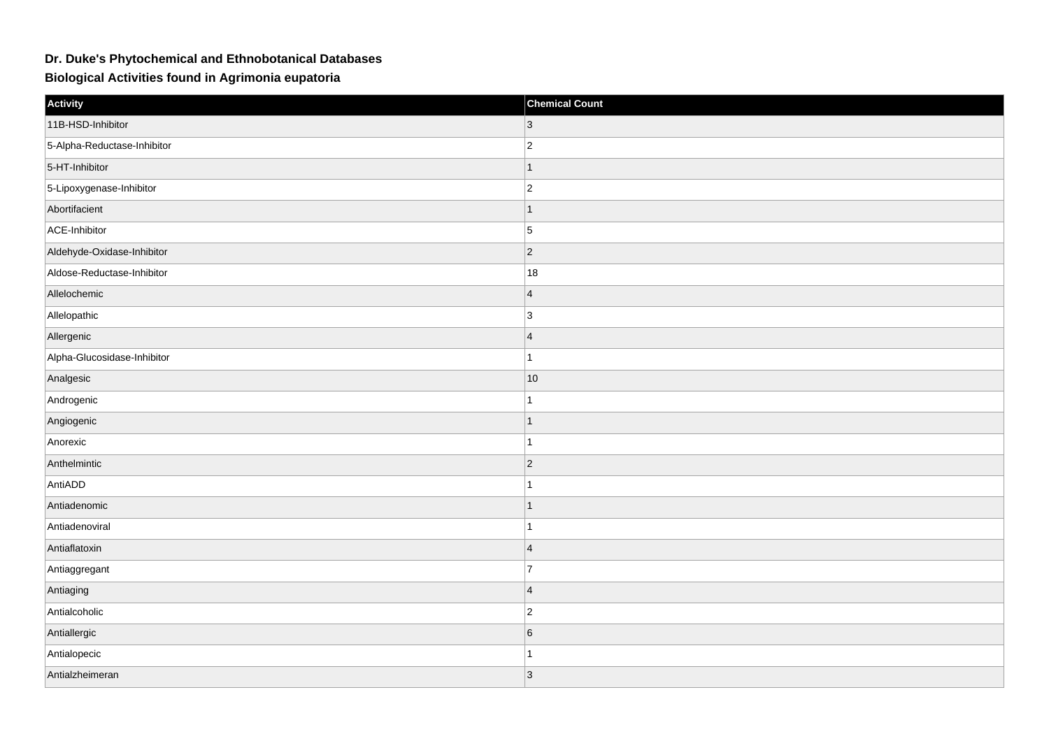## **Dr. Duke's Phytochemical and Ethnobotanical Databases**

**Biological Activities found in Agrimonia eupatoria**

| Activity                    | <b>Chemical Count</b> |
|-----------------------------|-----------------------|
| 11B-HSD-Inhibitor           | 3                     |
| 5-Alpha-Reductase-Inhibitor | $\vert$ 2             |
| 5-HT-Inhibitor              | $\mathbf{1}$          |
| 5-Lipoxygenase-Inhibitor    | $ 2\rangle$           |
| Abortifacient               | $\mathbf{1}$          |
| ACE-Inhibitor               | $\overline{5}$        |
| Aldehyde-Oxidase-Inhibitor  | $ 2\rangle$           |
| Aldose-Reductase-Inhibitor  | 18                    |
| Allelochemic                | $\vert 4 \vert$       |
| Allelopathic                | 3                     |
| Allergenic                  | $\overline{4}$        |
| Alpha-Glucosidase-Inhibitor | $\mathbf{1}$          |
| Analgesic                   | 10                    |
| Androgenic                  | $\mathbf{1}$          |
| Angiogenic                  | $\mathbf{1}$          |
| Anorexic                    | $\mathbf{1}$          |
| Anthelmintic                | $ 2\rangle$           |
| AntiADD                     | $\mathbf{1}$          |
| Antiadenomic                | $\mathbf{1}$          |
| Antiadenoviral              | 1                     |
| Antiaflatoxin               | $\vert 4 \vert$       |
| Antiaggregant               | $\overline{7}$        |
| Antiaging                   | $\overline{4}$        |
| Antialcoholic               | $\vert$ 2             |
| Antiallergic                | 6                     |
| Antialopecic                | 1                     |
| Antialzheimeran             | 3                     |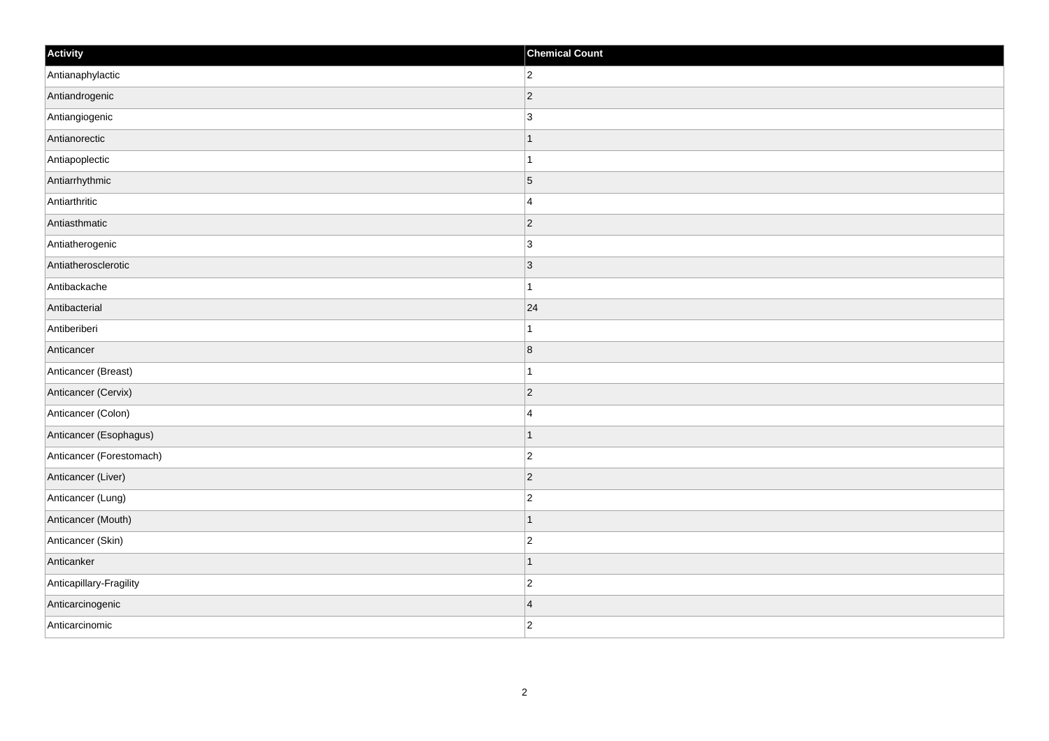| Activity                 | <b>Chemical Count</b> |
|--------------------------|-----------------------|
| Antianaphylactic         | $ 2\rangle$           |
| Antiandrogenic           | $ 2\rangle$           |
| Antiangiogenic           | $\vert$ 3             |
| Antianorectic            | $\mathbf{1}$          |
| Antiapoplectic           | $\overline{1}$        |
| Antiarrhythmic           | $\overline{5}$        |
| Antiarthritic            | $\overline{4}$        |
| Antiasthmatic            | $\overline{2}$        |
| Antiatherogenic          | $\vert$ 3             |
| Antiatherosclerotic      | $ 3\rangle$           |
| Antibackache             | $\mathbf{1}$          |
| Antibacterial            | 24                    |
| Antiberiberi             | 1                     |
| Anticancer               | 8                     |
| Anticancer (Breast)      | 1                     |
| Anticancer (Cervix)      | $ 2\rangle$           |
| Anticancer (Colon)       | $\overline{4}$        |
| Anticancer (Esophagus)   | $\overline{1}$        |
| Anticancer (Forestomach) | $ 2\rangle$           |
| Anticancer (Liver)       | $ 2\rangle$           |
| Anticancer (Lung)        | $ 2\rangle$           |
| Anticancer (Mouth)       | $\mathbf{1}$          |
| Anticancer (Skin)        | $ 2\rangle$           |
| Anticanker               | $\overline{1}$        |
| Anticapillary-Fragility  | $ 2\rangle$           |
| Anticarcinogenic         | $\overline{4}$        |
| Anticarcinomic           | $ 2\rangle$           |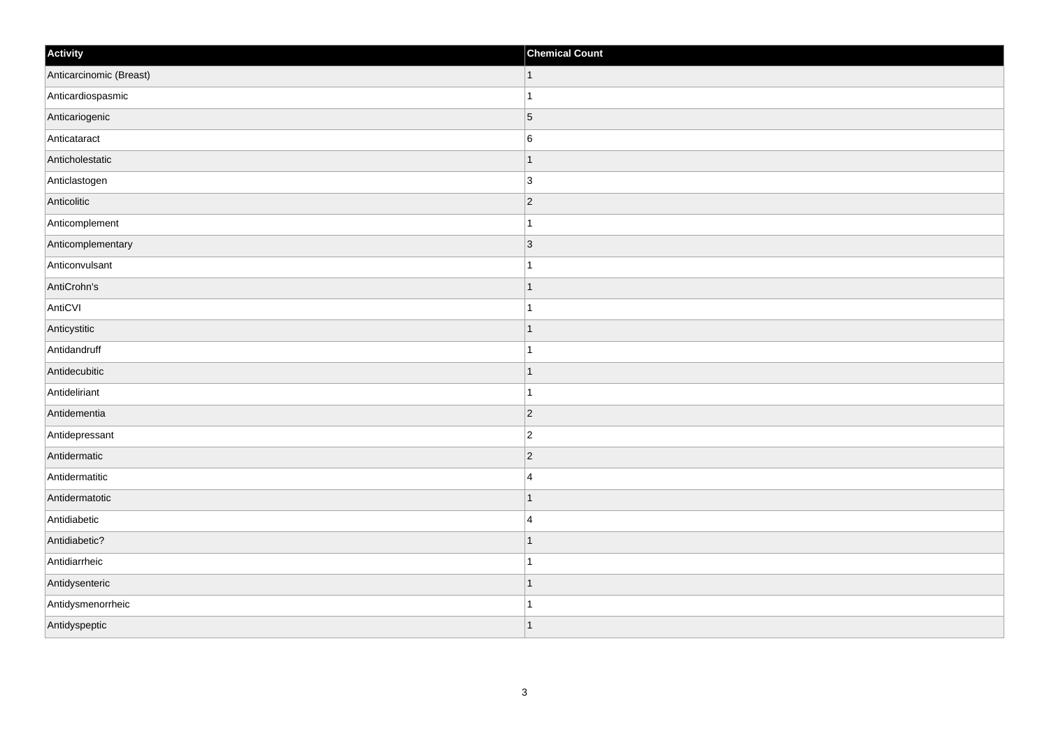| Activity                | <b>Chemical Count</b> |
|-------------------------|-----------------------|
| Anticarcinomic (Breast) | $\vert$ 1             |
| Anticardiospasmic       | $\overline{1}$        |
| Anticariogenic          | $\vert$ 5             |
| Anticataract            | $\,6$                 |
| Anticholestatic         | $\mathbf 1$           |
| Anticlastogen           | 3                     |
| Anticolitic             | $ 2\rangle$           |
| Anticomplement          | $\mathbf{1}$          |
| Anticomplementary       | 3                     |
| Anticonvulsant          | $\overline{1}$        |
| AntiCrohn's             | $\overline{1}$        |
| AntiCVI                 |                       |
| Anticystitic            | $\vert$ 1             |
| Antidandruff            | $\mathbf{1}$          |
| Antidecubitic           | $\mathbf 1$           |
| Antideliriant           | $\mathbf{1}$          |
| Antidementia            | $ 2\rangle$           |
| Antidepressant          | $ 2\rangle$           |
| Antidermatic            | $ 2\rangle$           |
| Antidermatitic          | $\overline{4}$        |
| Antidermatotic          | $\mathbf 1$           |
| Antidiabetic            | $\overline{4}$        |
| Antidiabetic?           | $\mathbf 1$           |
| Antidiarrheic           | $\mathbf{1}$          |
| Antidysenteric          | $\mathbf 1$           |
| Antidysmenorrheic       | -1                    |
| Antidyspeptic           | $\mathbf{1}$          |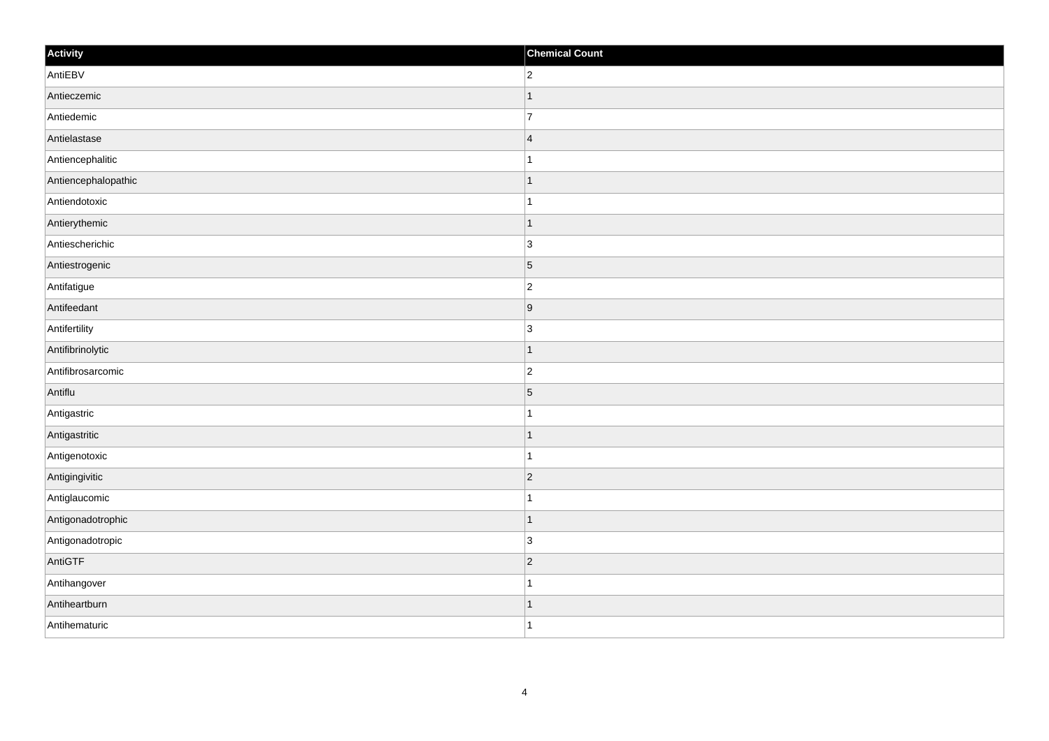| Activity            | <b>Chemical Count</b> |
|---------------------|-----------------------|
| AntiEBV             | $\overline{2}$        |
| Antieczemic         | $\overline{1}$        |
| Antiedemic          | $\overline{7}$        |
| Antielastase        | $\overline{4}$        |
| Antiencephalitic    | $\mathbf{1}$          |
| Antiencephalopathic | $\mathbf 1$           |
| Antiendotoxic       | $\mathbf 1$           |
| Antierythemic       | $\mathbf 1$           |
| Antiescherichic     | $\overline{3}$        |
| Antiestrogenic      | $\vert$ 5             |
| Antifatigue         | $\overline{c}$        |
| Antifeedant         | 9                     |
| Antifertility       | $\overline{3}$        |
| Antifibrinolytic    | $\mathbf 1$           |
| Antifibrosarcomic   | $ 2\rangle$           |
| Antiflu             | $\vert$ 5             |
| Antigastric         | $\mathbf 1$           |
| Antigastritic       | $\vert$ 1             |
| Antigenotoxic       | $\mathbf 1$           |
| Antigingivitic      | $ 2\rangle$           |
| Antiglaucomic       | $\overline{1}$        |
| Antigonadotrophic   | $\vert$ 1             |
| Antigonadotropic    | 3                     |
| AntiGTF             | $ 2\rangle$           |
| Antihangover        | $\mathbf 1$           |
| Antiheartburn       | 1                     |
| Antihematuric       | $\overline{1}$        |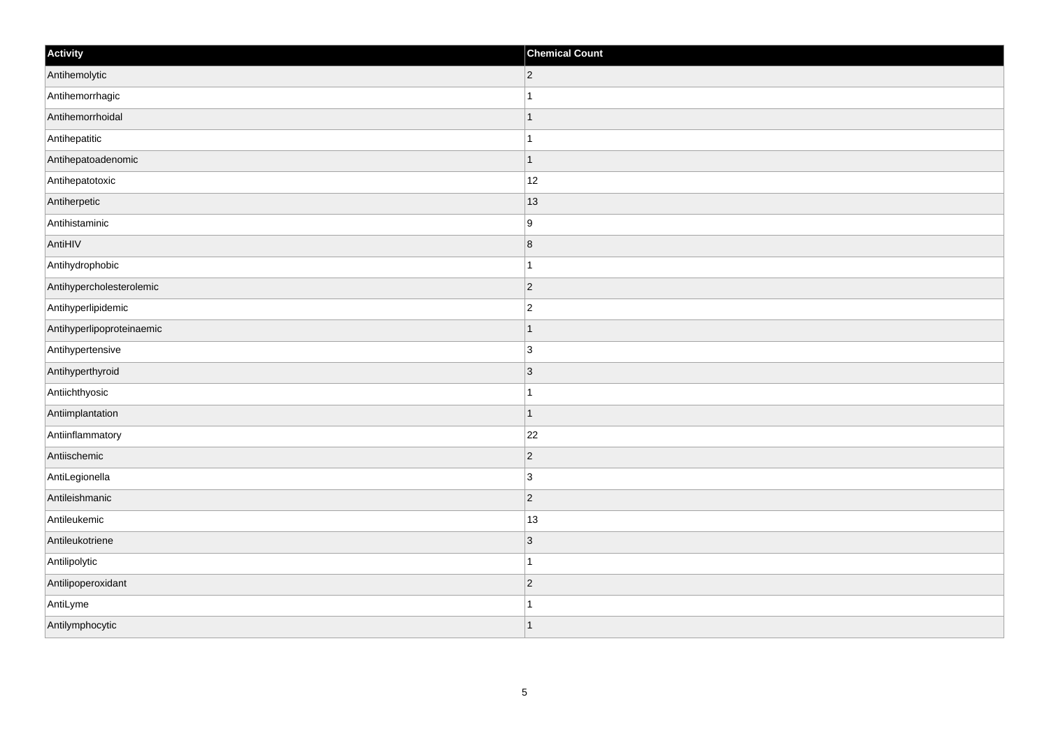| Activity                  | <b>Chemical Count</b> |
|---------------------------|-----------------------|
| Antihemolytic             | $ 2\rangle$           |
| Antihemorrhagic           | $\mathbf{1}$          |
| Antihemorrhoidal          | $\mathbf{1}$          |
| Antihepatitic             | $\mathbf{1}$          |
| Antihepatoadenomic        | $\mathbf{1}$          |
| Antihepatotoxic           | 12                    |
| Antiherpetic              | 13                    |
| Antihistaminic            | 9                     |
| AntiHIV                   | $\vert 8 \vert$       |
| Antihydrophobic           | $\mathbf{1}$          |
| Antihypercholesterolemic  | $\overline{2}$        |
| Antihyperlipidemic        | $\overline{2}$        |
| Antihyperlipoproteinaemic | $\vert$ 1             |
| Antihypertensive          | 3                     |
| Antihyperthyroid          | 3                     |
| Antiichthyosic            | $\mathbf{1}$          |
| Antiimplantation          | $\vert$ 1             |
| Antiinflammatory          | 22                    |
| Antiischemic              | $ 2\rangle$           |
| AntiLegionella            | 3                     |
| Antileishmanic            | $ 2\rangle$           |
| Antileukemic              | 13                    |
| Antileukotriene           | $ 3\rangle$           |
| Antilipolytic             | $\mathbf{1}$          |
| Antilipoperoxidant        | $ 2\rangle$           |
| AntiLyme                  | 1                     |
| Antilymphocytic           | $\vert$ 1             |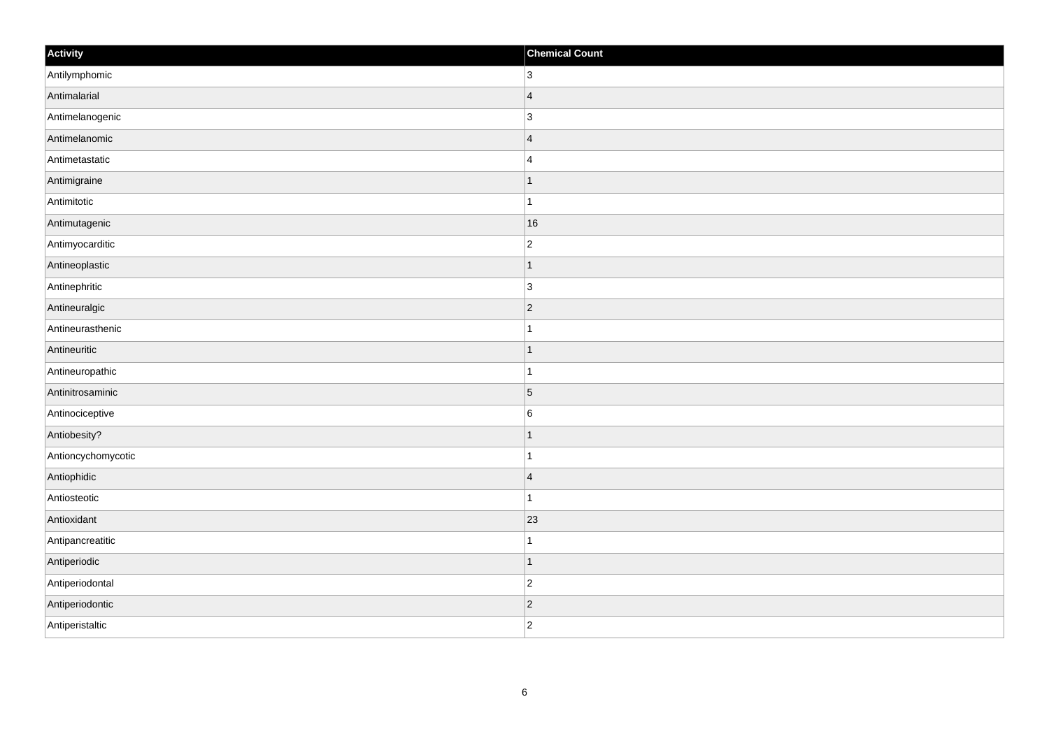| Activity           | <b>Chemical Count</b> |
|--------------------|-----------------------|
| Antilymphomic      | $ 3\rangle$           |
| Antimalarial       | $\vert 4 \vert$       |
| Antimelanogenic    | 3                     |
| Antimelanomic      | $\vert$ 4             |
| Antimetastatic     | 4                     |
| Antimigraine       | $\mathbf{1}$          |
| Antimitotic        | $\mathbf{1}$          |
| Antimutagenic      | 16                    |
| Antimyocarditic    | $\vert$ 2             |
| Antineoplastic     | $\vert$ 1             |
| Antinephritic      | 3                     |
| Antineuralgic      | $ 2\rangle$           |
| Antineurasthenic   | $\mathbf{1}$          |
| Antineuritic       | $\vert$ 1             |
| Antineuropathic    | $\vert$ 1             |
| Antinitrosaminic   | $\overline{5}$        |
| Antinociceptive    | $\overline{6}$        |
| Antiobesity?       | $\vert$ 1             |
| Antioncychomycotic | $\vert$ 1             |
| Antiophidic        | $\vert$ 4             |
| Antiosteotic       | $\vert$ 1             |
| Antioxidant        | 23                    |
| Antipancreatitic   | $\mathbf{1}$          |
| Antiperiodic       | $\vert$ 1             |
| Antiperiodontal    | $\vert$ 2             |
| Antiperiodontic    | $\vert$ 2             |
| Antiperistaltic    | $ 2\rangle$           |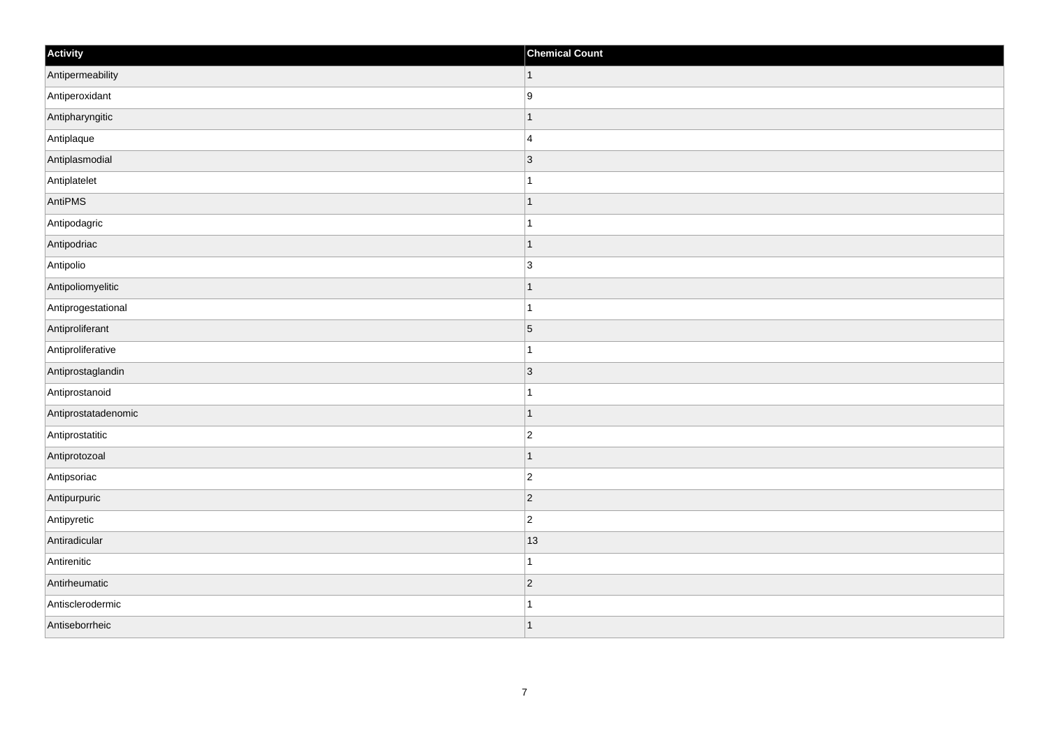| Activity            | <b>Chemical Count</b> |
|---------------------|-----------------------|
| Antipermeability    | $\vert$ 1             |
| Antiperoxidant      | 9                     |
| Antipharyngitic     | $\mathbf{1}$          |
| Antiplaque          | $\vert$ 4             |
| Antiplasmodial      | $\vert$ 3             |
| Antiplatelet        | $\mathbf{1}$          |
| AntiPMS             | $\vert$ 1             |
| Antipodagric        | $\vert$ 1             |
| Antipodriac         | $\vert$ 1             |
| Antipolio           | 3                     |
| Antipoliomyelitic   | $\mathbf{1}$          |
| Antiprogestational  | $\vert$ 1             |
| Antiproliferant     | $\overline{5}$        |
| Antiproliferative   | $\vert$ 1             |
| Antiprostaglandin   | $ 3\rangle$           |
| Antiprostanoid      | $\mathbf{1}$          |
| Antiprostatadenomic | $\vert$ 1             |
| Antiprostatitic     | $\vert$ 2             |
| Antiprotozoal       | $\vert$ 1             |
| Antipsoriac         | $ 2\rangle$           |
| Antipurpuric        | $ 2\rangle$           |
| Antipyretic         | $ 2\rangle$           |
| Antiradicular       | 13                    |
| Antirenitic         | $\vert$ 1             |
| Antirheumatic       | $ 2\rangle$           |
| Antisclerodermic    | 1                     |
| Antiseborrheic      | $\vert$ 1             |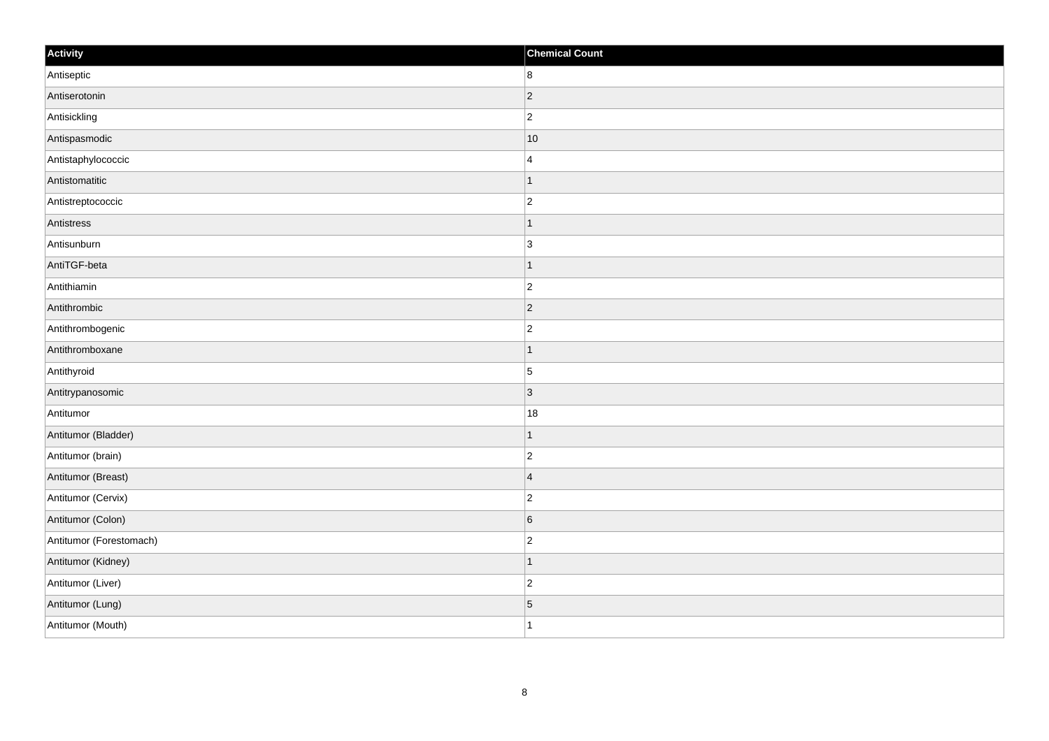| Activity                | <b>Chemical Count</b> |
|-------------------------|-----------------------|
| Antiseptic              | 8                     |
| Antiserotonin           | $ 2\rangle$           |
| Antisickling            | $\overline{c}$        |
| Antispasmodic           | 10                    |
| Antistaphylococcic      | $\overline{4}$        |
| Antistomatitic          | $\mathbf 1$           |
| Antistreptococcic       | $\overline{2}$        |
| Antistress              |                       |
| Antisunburn             | $\overline{3}$        |
| AntiTGF-beta            | $\vert$ 1             |
| Antithiamin             | $\overline{c}$        |
| Antithrombic            | $ 2\rangle$           |
| Antithrombogenic        | $\overline{2}$        |
| Antithromboxane         | 1                     |
| Antithyroid             | $\vert$ 5             |
| Antitrypanosomic        | $ 3\rangle$           |
| Antitumor               | 18                    |
| Antitumor (Bladder)     |                       |
| Antitumor (brain)       | $\overline{2}$        |
| Antitumor (Breast)      | $\overline{4}$        |
| Antitumor (Cervix)      | $\overline{c}$        |
| Antitumor (Colon)       | $\sqrt{6}$            |
| Antitumor (Forestomach) | $\overline{c}$        |
| Antitumor (Kidney)      | $\mathbf 1$           |
| Antitumor (Liver)       | $\overline{2}$        |
| Antitumor (Lung)        | $\sqrt{5}$            |
| Antitumor (Mouth)       | $\mathbf{1}$          |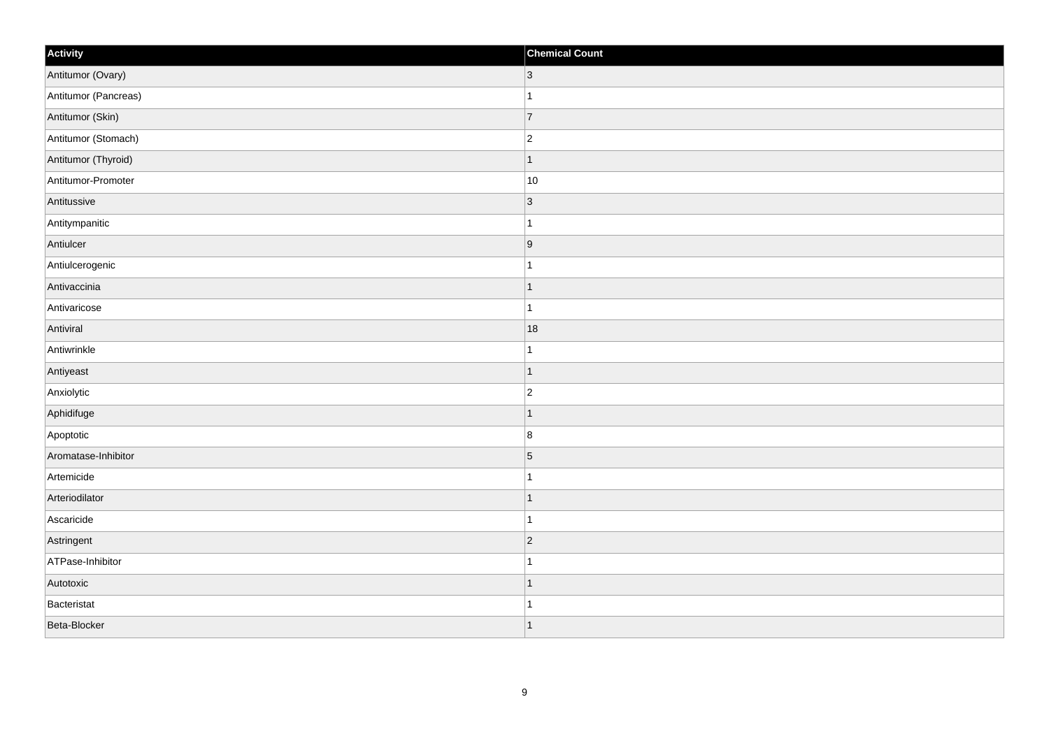| Activity             | <b>Chemical Count</b> |
|----------------------|-----------------------|
| Antitumor (Ovary)    | $ 3\rangle$           |
| Antitumor (Pancreas) | $\overline{1}$        |
| Antitumor (Skin)     | $\overline{7}$        |
| Antitumor (Stomach)  | $ 2\rangle$           |
| Antitumor (Thyroid)  | $\mathbf{1}$          |
| Antitumor-Promoter   | 10                    |
| Antitussive          | $ 3\rangle$           |
| Antitympanitic       | $\overline{1}$        |
| Antiulcer            | 9                     |
| Antiulcerogenic      | $\overline{1}$        |
| Antivaccinia         | $\mathbf{1}$          |
| Antivaricose         | $\overline{1}$        |
| Antiviral            | 18                    |
| Antiwrinkle          | $\overline{1}$        |
| Antiyeast            | $\overline{1}$        |
| Anxiolytic           | $ 2\rangle$           |
| Aphidifuge           | $\overline{1}$        |
| Apoptotic            | 8                     |
| Aromatase-Inhibitor  | $\overline{5}$        |
| Artemicide           | 1                     |
| Arteriodilator       | $\overline{1}$        |
| Ascaricide           | $\overline{1}$        |
| Astringent           | $ 2\rangle$           |
| ATPase-Inhibitor     | $\overline{ }$        |
| Autotoxic            | $\mathbf{1}$          |
| Bacteristat          | 1                     |
| Beta-Blocker         | $\mathbf{1}$          |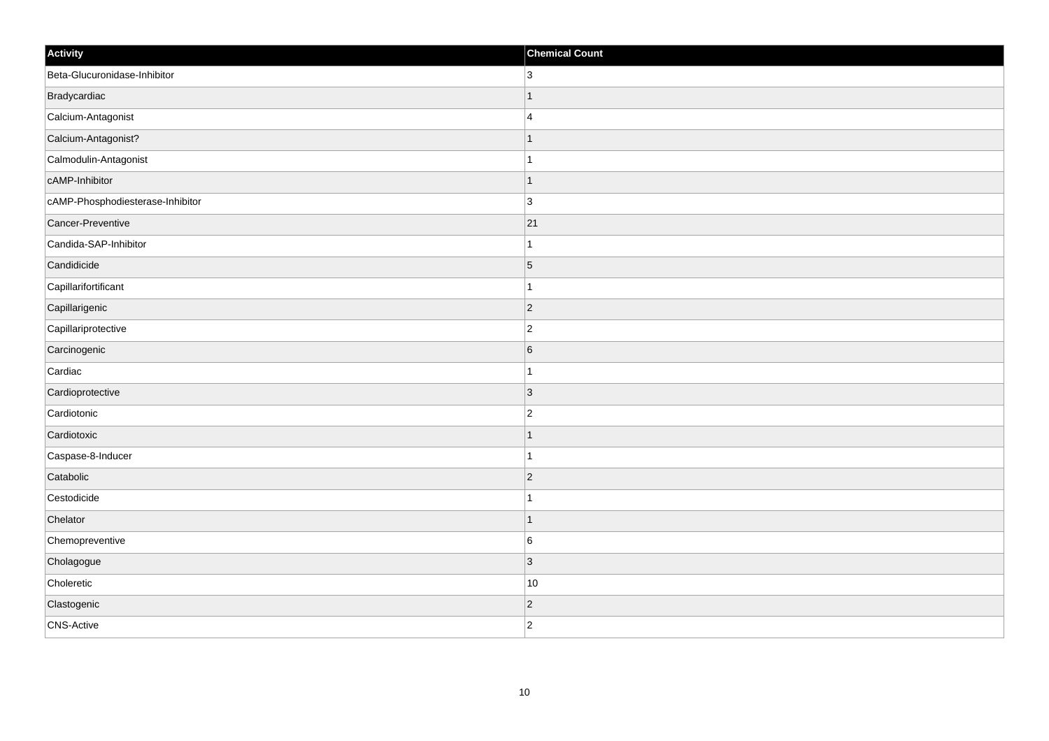| Activity                         | <b>Chemical Count</b> |
|----------------------------------|-----------------------|
| Beta-Glucuronidase-Inhibitor     | 3 <sup>1</sup>        |
| Bradycardiac                     |                       |
| Calcium-Antagonist               | $\overline{4}$        |
| Calcium-Antagonist?              | $\mathbf 1$           |
| Calmodulin-Antagonist            | $\mathbf{1}$          |
| cAMP-Inhibitor                   |                       |
| cAMP-Phosphodiesterase-Inhibitor | 3                     |
| Cancer-Preventive                | 21                    |
| Candida-SAP-Inhibitor            |                       |
| Candidicide                      | $\sqrt{5}$            |
| Capillarifortificant             | 1                     |
| Capillarigenic                   | $ 2\rangle$           |
| Capillariprotective              | $\overline{c}$        |
| Carcinogenic                     | $6\phantom{.}6$       |
| Cardiac                          |                       |
| Cardioprotective                 | 3                     |
| Cardiotonic                      | $\overline{c}$        |
| Cardiotoxic                      |                       |
| Caspase-8-Inducer                | $\overline{1}$        |
| Catabolic                        | $\overline{2}$        |
| Cestodicide                      |                       |
| Chelator                         | $\mathbf 1$           |
| Chemopreventive                  | 6                     |
| Cholagogue                       | $\overline{3}$        |
| Choleretic                       | 10                    |
| Clastogenic                      | $\overline{c}$        |
| <b>CNS-Active</b>                | $\overline{2}$        |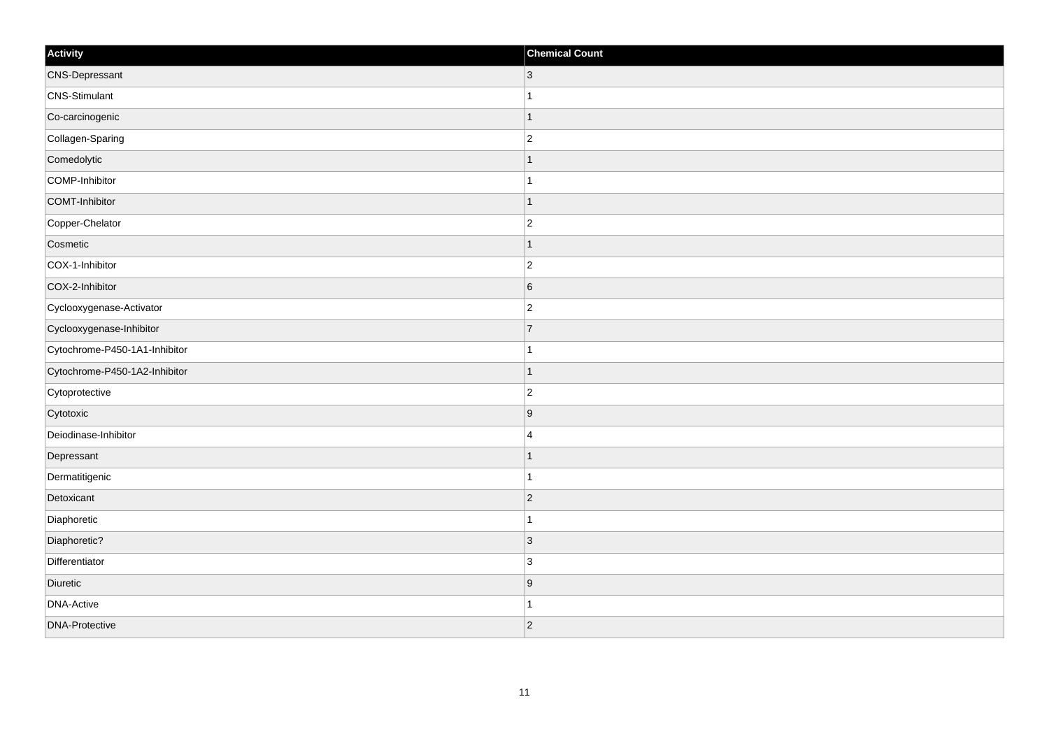| Activity                      | <b>Chemical Count</b> |
|-------------------------------|-----------------------|
| <b>CNS-Depressant</b>         | $ 3\rangle$           |
| CNS-Stimulant                 | $\mathbf{1}$          |
| Co-carcinogenic               | $\mathbf{1}$          |
| Collagen-Sparing              | $ 2\rangle$           |
| Comedolytic                   | $\mathbf 1$           |
| COMP-Inhibitor                | $\overline{1}$        |
| COMT-Inhibitor                | $\vert$ 1             |
| Copper-Chelator               | $ 2\rangle$           |
| Cosmetic                      | $\mathbf{1}$          |
| COX-1-Inhibitor               | $\vert$ 2             |
| COX-2-Inhibitor               | $6\overline{6}$       |
| Cyclooxygenase-Activator      | $\overline{2}$        |
| Cyclooxygenase-Inhibitor      | $\overline{7}$        |
| Cytochrome-P450-1A1-Inhibitor | $\mathbf{1}$          |
| Cytochrome-P450-1A2-Inhibitor | $\mathbf{1}$          |
| Cytoprotective                | $\vert$ 2             |
| Cytotoxic                     | 9                     |
| Deiodinase-Inhibitor          | 4                     |
| Depressant                    | $\mathbf{1}$          |
| Dermatitigenic                | $\mathbf{1}$          |
| Detoxicant                    | $ 2\rangle$           |
| Diaphoretic                   | $\mathbf{1}$          |
| Diaphoretic?                  | $\vert 3 \vert$       |
| Differentiator                | 3                     |
| Diuretic                      | 9                     |
| <b>DNA-Active</b>             | 1                     |
| <b>DNA-Protective</b>         | $\overline{2}$        |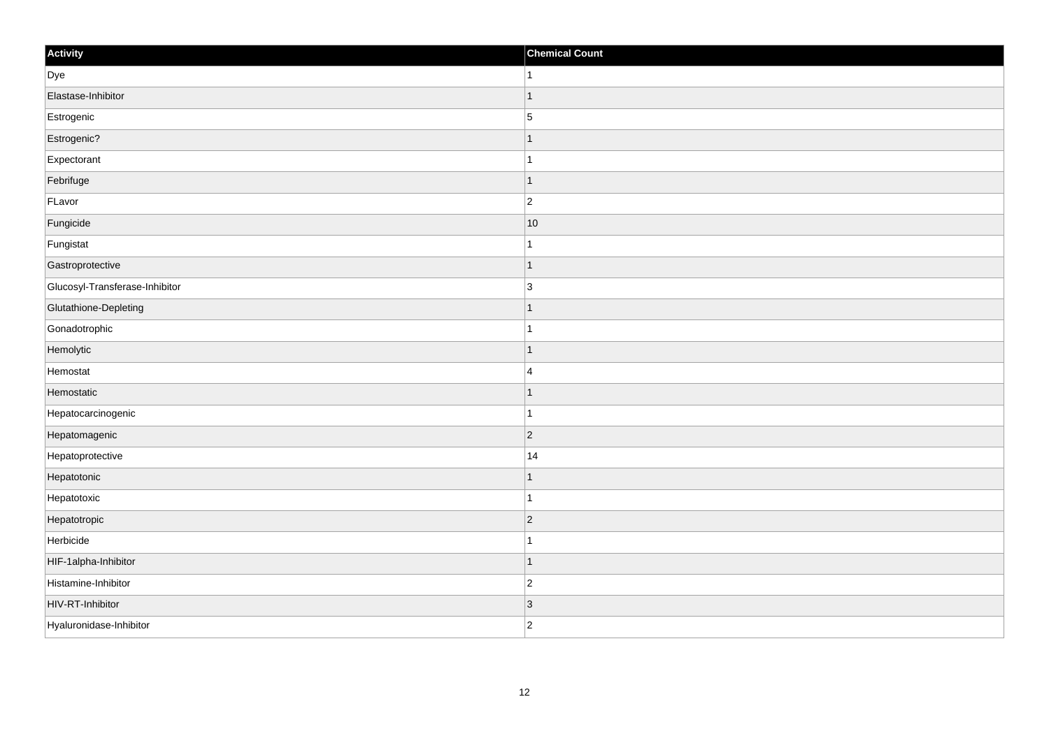| Activity                       | <b>Chemical Count</b>    |
|--------------------------------|--------------------------|
| Dye                            | 1                        |
| Elastase-Inhibitor             |                          |
| Estrogenic                     | $\overline{5}$           |
| Estrogenic?                    | -1                       |
| Expectorant                    | 1                        |
| Febrifuge                      |                          |
| FLavor                         | $\overline{c}$           |
| Fungicide                      | 10                       |
| Fungistat                      |                          |
| Gastroprotective               | 1                        |
| Glucosyl-Transferase-Inhibitor | $\overline{3}$           |
| Glutathione-Depleting          |                          |
| Gonadotrophic                  |                          |
| Hemolytic                      |                          |
| Hemostat                       | $\overline{4}$           |
| Hemostatic                     | 1                        |
| Hepatocarcinogenic             | 1                        |
| Hepatomagenic                  | $\vert$ 2                |
| Hepatoprotective               | 14                       |
| Hepatotonic                    |                          |
| Hepatotoxic                    |                          |
| Hepatotropic                   | $\vert$ 2                |
| Herbicide                      |                          |
| HIF-1alpha-Inhibitor           | $\overline{\phantom{a}}$ |
| Histamine-Inhibitor            | $\overline{c}$           |
| HIV-RT-Inhibitor               | $\vert 3 \vert$          |
| Hyaluronidase-Inhibitor        | $\overline{2}$           |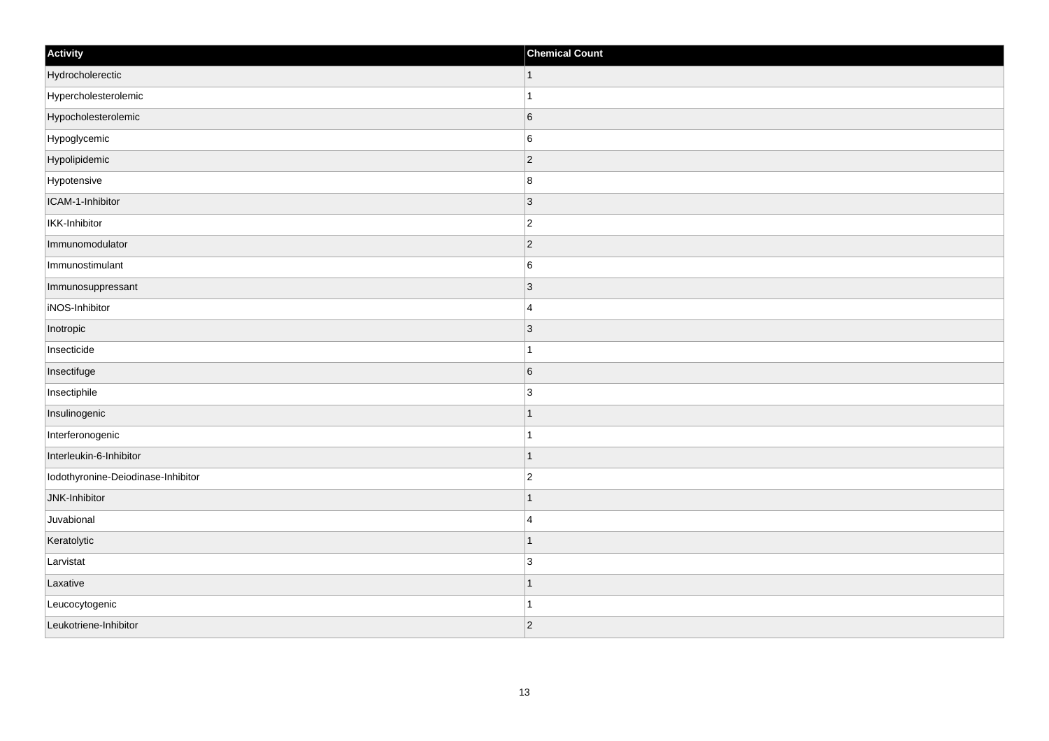| Activity                           | <b>Chemical Count</b> |
|------------------------------------|-----------------------|
| Hydrocholerectic                   | $\vert$ 1             |
| Hypercholesterolemic               | $\mathbf{1}$          |
| Hypocholesterolemic                | $6\overline{6}$       |
| Hypoglycemic                       | $6\overline{6}$       |
| Hypolipidemic                      | $\vert$ 2             |
| Hypotensive                        | 8                     |
| ICAM-1-Inhibitor                   | $ 3\rangle$           |
| IKK-Inhibitor                      | $ 2\rangle$           |
| Immunomodulator                    | $ 2\rangle$           |
| Immunostimulant                    | $6\overline{6}$       |
| Immunosuppressant                  | 3                     |
| iNOS-Inhibitor                     | 4                     |
| Inotropic                          | $ 3\rangle$           |
| Insecticide                        | $\vert$ 1             |
| Insectifuge                        | $6\overline{6}$       |
| Insectiphile                       | 3                     |
| Insulinogenic                      | $\mathbf{1}$          |
| Interferonogenic                   | $\mathbf{1}$          |
| Interleukin-6-Inhibitor            | $\vert$ 1             |
| Iodothyronine-Deiodinase-Inhibitor | $ 2\rangle$           |
| JNK-Inhibitor                      | $\mathbf{1}$          |
| Juvabional                         | $\vert$ 4             |
| Keratolytic                        | $\mathbf{1}$          |
| Larvistat                          | 3                     |
| Laxative                           | $\vert$ 1             |
| Leucocytogenic                     | ∣1                    |
| Leukotriene-Inhibitor              | $ 2\rangle$           |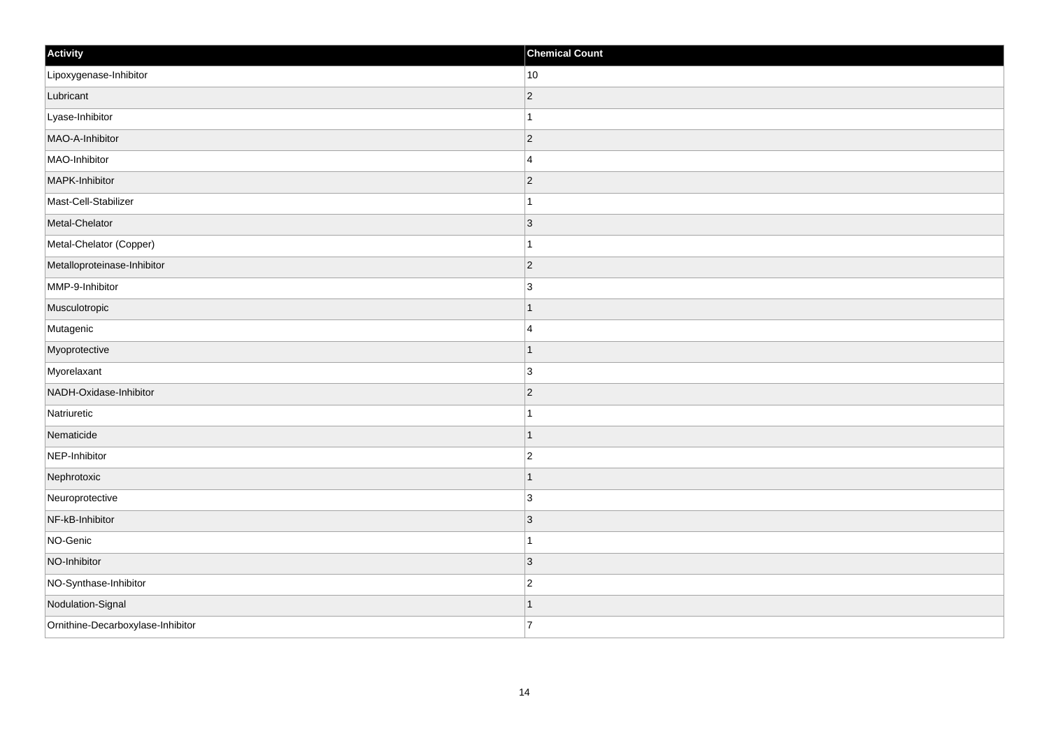| Activity                          | <b>Chemical Count</b> |
|-----------------------------------|-----------------------|
| Lipoxygenase-Inhibitor            | 10                    |
| Lubricant                         | $\overline{c}$        |
| Lyase-Inhibitor                   | 1                     |
| MAO-A-Inhibitor                   | $ 2\rangle$           |
| MAO-Inhibitor                     | $\overline{4}$        |
| MAPK-Inhibitor                    | $ 2\rangle$           |
| Mast-Cell-Stabilizer              | 1                     |
| Metal-Chelator                    | $\overline{3}$        |
| Metal-Chelator (Copper)           |                       |
| Metalloproteinase-Inhibitor       | $ 2\rangle$           |
| MMP-9-Inhibitor                   | 3                     |
| Musculotropic                     |                       |
| Mutagenic                         | $\overline{4}$        |
| Myoprotective                     |                       |
| Myorelaxant                       | $\overline{3}$        |
| NADH-Oxidase-Inhibitor            | $ 2\rangle$           |
| Natriuretic                       | 1                     |
| Nematicide                        |                       |
| NEP-Inhibitor                     | $\overline{2}$        |
| Nephrotoxic                       |                       |
| Neuroprotective                   | 3                     |
| NF-kB-Inhibitor                   | 3                     |
| NO-Genic                          | $\mathbf 1$           |
| NO-Inhibitor                      | 3                     |
| NO-Synthase-Inhibitor             | $\overline{2}$        |
| Nodulation-Signal                 |                       |
| Ornithine-Decarboxylase-Inhibitor | $\overline{7}$        |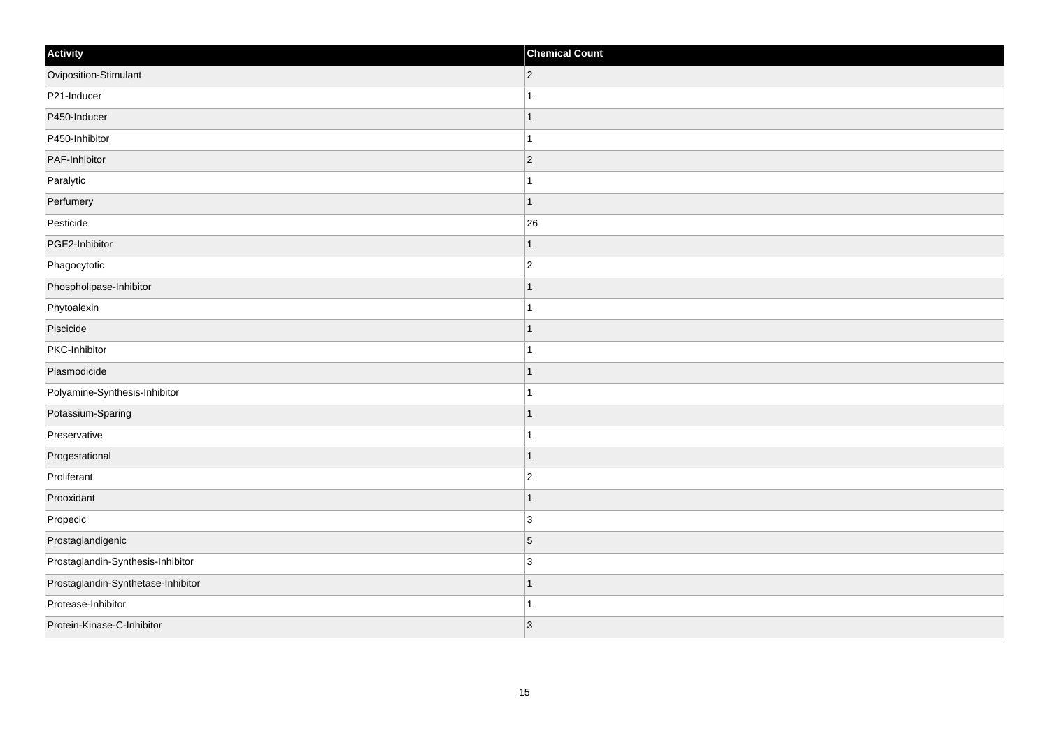| Activity                           | <b>Chemical Count</b> |
|------------------------------------|-----------------------|
| Oviposition-Stimulant              | $ 2\rangle$           |
| P21-Inducer                        |                       |
| P450-Inducer                       |                       |
| P450-Inhibitor                     |                       |
| PAF-Inhibitor                      | $\overline{2}$        |
| Paralytic                          |                       |
| Perfumery                          | -1                    |
| Pesticide                          | 26                    |
| PGE2-Inhibitor                     |                       |
| Phagocytotic                       | $\overline{2}$        |
| Phospholipase-Inhibitor            |                       |
| Phytoalexin                        |                       |
| Piscicide                          |                       |
| PKC-Inhibitor                      |                       |
| Plasmodicide                       |                       |
| Polyamine-Synthesis-Inhibitor      |                       |
| Potassium-Sparing                  |                       |
| Preservative                       |                       |
| Progestational                     |                       |
| Proliferant                        | $\overline{2}$        |
| Prooxidant                         |                       |
| Propecic                           | 3                     |
| Prostaglandigenic                  | $\overline{5}$        |
| Prostaglandin-Synthesis-Inhibitor  | 3                     |
| Prostaglandin-Synthetase-Inhibitor |                       |
| Protease-Inhibitor                 |                       |
| Protein-Kinase-C-Inhibitor         | $\vert 3 \vert$       |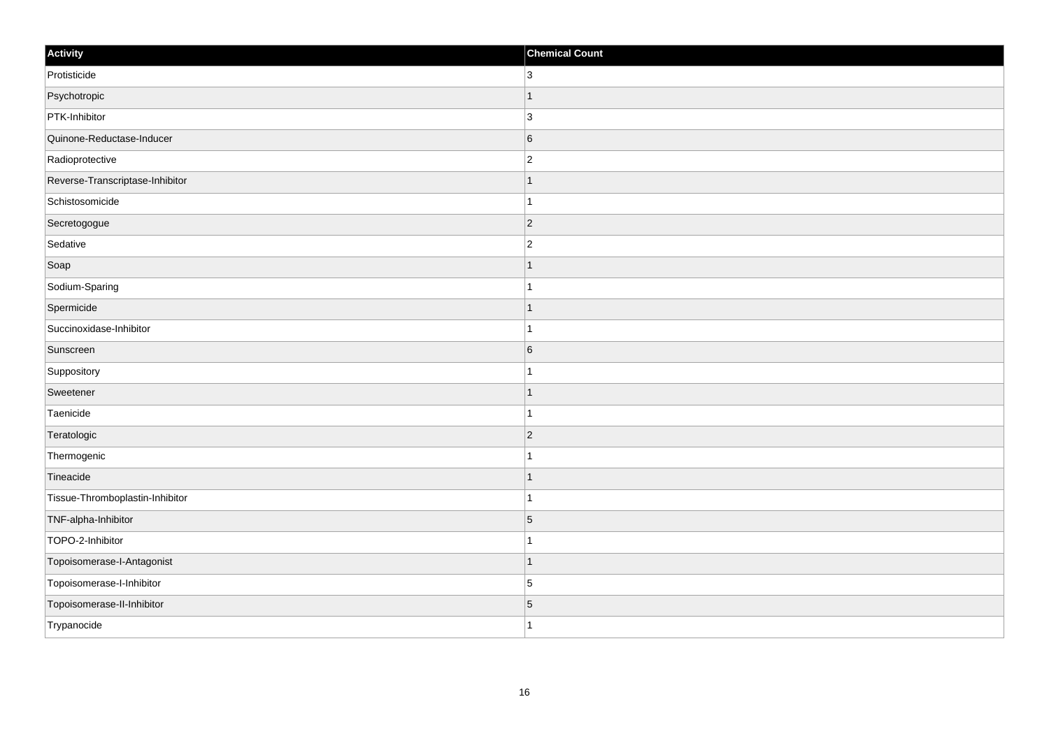| Activity                        | <b>Chemical Count</b> |
|---------------------------------|-----------------------|
| Protisticide                    | $ 3\rangle$           |
| Psychotropic                    | $\mathbf{1}$          |
| PTK-Inhibitor                   | 3                     |
| Quinone-Reductase-Inducer       | $\overline{6}$        |
| Radioprotective                 | $ 2\rangle$           |
| Reverse-Transcriptase-Inhibitor | -1                    |
| Schistosomicide                 | $\mathbf{1}$          |
| Secretogogue                    | $\overline{2}$        |
| Sedative                        | $\vert$ 2             |
| Soap                            | $\mathbf{1}$          |
| Sodium-Sparing                  | $\mathbf{1}$          |
| Spermicide                      | $\mathbf{1}$          |
| Succinoxidase-Inhibitor         | $\mathbf{1}$          |
| Sunscreen                       | 6                     |
| Suppository                     | $\mathbf{1}$          |
| Sweetener                       | $\mathbf{1}$          |
| Taenicide                       | $\mathbf{1}$          |
| Teratologic                     | $\overline{2}$        |
| Thermogenic                     | $\mathbf{1}$          |
| Tineacide                       | $\mathbf{1}$          |
| Tissue-Thromboplastin-Inhibitor | $\mathbf{1}$          |
| TNF-alpha-Inhibitor             | $\overline{5}$        |
| TOPO-2-Inhibitor                | $\mathbf{1}$          |
| Topoisomerase-I-Antagonist      | $\mathbf{1}$          |
| Topoisomerase-I-Inhibitor       | $\overline{5}$        |
| Topoisomerase-II-Inhibitor      | 5                     |
| Trypanocide                     | $\vert$ 1             |